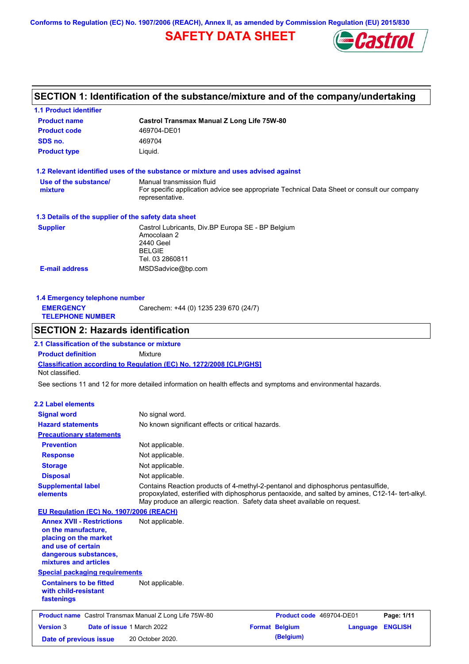**Conforms to Regulation (EC) No. 1907/2006 (REACH), Annex II, as amended by Commission Regulation (EU) 2015/830**

## **SAFETY DATA SHEET**



# **SECTION 1: Identification of the substance/mixture and of the company/undertaking**

| <b>1.1 Product identifier</b>                                                                                                                            |                                                                                                                                                                                                                                                                   |
|----------------------------------------------------------------------------------------------------------------------------------------------------------|-------------------------------------------------------------------------------------------------------------------------------------------------------------------------------------------------------------------------------------------------------------------|
| <b>Product name</b>                                                                                                                                      | <b>Castrol Transmax Manual Z Long Life 75W-80</b>                                                                                                                                                                                                                 |
| <b>Product code</b>                                                                                                                                      | 469704-DE01                                                                                                                                                                                                                                                       |
| SDS no.                                                                                                                                                  | 469704                                                                                                                                                                                                                                                            |
| <b>Product type</b>                                                                                                                                      | Liquid.                                                                                                                                                                                                                                                           |
|                                                                                                                                                          | 1.2 Relevant identified uses of the substance or mixture and uses advised against                                                                                                                                                                                 |
| Use of the substance/                                                                                                                                    | Manual transmission fluid                                                                                                                                                                                                                                         |
| mixture                                                                                                                                                  | For specific application advice see appropriate Technical Data Sheet or consult our company<br>representative.                                                                                                                                                    |
| 1.3 Details of the supplier of the safety data sheet                                                                                                     |                                                                                                                                                                                                                                                                   |
| <b>Supplier</b>                                                                                                                                          | Castrol Lubricants, Div.BP Europa SE - BP Belgium<br>Amocolaan 2<br>2440 Geel<br><b>BELGIE</b><br>Tel. 03 2860811                                                                                                                                                 |
| <b>E-mail address</b>                                                                                                                                    | MSDSadvice@bp.com                                                                                                                                                                                                                                                 |
|                                                                                                                                                          |                                                                                                                                                                                                                                                                   |
| 1.4 Emergency telephone number                                                                                                                           |                                                                                                                                                                                                                                                                   |
| <b>EMERGENCY</b><br><b>TELEPHONE NUMBER</b>                                                                                                              | Carechem: +44 (0) 1235 239 670 (24/7)                                                                                                                                                                                                                             |
| <b>SECTION 2: Hazards identification</b>                                                                                                                 |                                                                                                                                                                                                                                                                   |
|                                                                                                                                                          |                                                                                                                                                                                                                                                                   |
| 2.1 Classification of the substance or mixture                                                                                                           |                                                                                                                                                                                                                                                                   |
| <b>Product definition</b>                                                                                                                                | Mixture                                                                                                                                                                                                                                                           |
| Not classified.                                                                                                                                          | Classification according to Regulation (EC) No. 1272/2008 [CLP/GHS]                                                                                                                                                                                               |
|                                                                                                                                                          | See sections 11 and 12 for more detailed information on health effects and symptoms and environmental hazards.                                                                                                                                                    |
| <b>2.2 Label elements</b>                                                                                                                                |                                                                                                                                                                                                                                                                   |
| <b>Signal word</b>                                                                                                                                       | No signal word.                                                                                                                                                                                                                                                   |
| <b>Hazard statements</b>                                                                                                                                 | No known significant effects or critical hazards.                                                                                                                                                                                                                 |
| <b>Precautionary statements</b>                                                                                                                          |                                                                                                                                                                                                                                                                   |
| <b>Prevention</b>                                                                                                                                        | Not applicable.                                                                                                                                                                                                                                                   |
| <b>Response</b>                                                                                                                                          | Not applicable.                                                                                                                                                                                                                                                   |
| <b>Storage</b>                                                                                                                                           | Not applicable.                                                                                                                                                                                                                                                   |
| <b>Disposal</b>                                                                                                                                          | Not applicable.                                                                                                                                                                                                                                                   |
| <b>Supplemental label</b><br>elements                                                                                                                    | Contains Reaction products of 4-methyl-2-pentanol and diphosphorus pentasulfide,<br>propoxylated, esterified with diphosphorus pentaoxide, and salted by amines, C12-14- tert-alkyl.<br>May produce an allergic reaction. Safety data sheet available on request. |
| EU Regulation (EC) No. 1907/2006 (REACH)                                                                                                                 |                                                                                                                                                                                                                                                                   |
| <b>Annex XVII - Restrictions</b><br>on the manufacture.<br>placing on the market<br>and use of certain<br>dangerous substances,<br>mixtures and articles | Not applicable.                                                                                                                                                                                                                                                   |
| <b>Special packaging requirements</b>                                                                                                                    |                                                                                                                                                                                                                                                                   |
| <b>Containers to be fitted</b><br>with child-resistant<br>fastenings                                                                                     | Not applicable.                                                                                                                                                                                                                                                   |
| <b>Product name</b> Castrol Transmax Manual Z Long Life 75W-80                                                                                           | Product code 469704-DE01<br>Page: 1/11                                                                                                                                                                                                                            |
| <b>Version 3</b><br>Date of issue 1 March 2022                                                                                                           | <b>Format Belgium</b><br><b>ENGLISH</b><br><b>Language</b>                                                                                                                                                                                                        |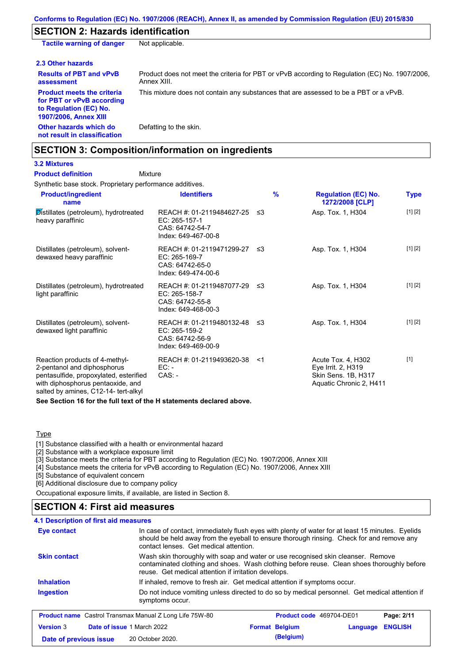## **SECTION 2: Hazards identification**

| <b>Tactile warning of danger</b>                                                                                         | Not applicable.                                                                                               |
|--------------------------------------------------------------------------------------------------------------------------|---------------------------------------------------------------------------------------------------------------|
| 2.3 Other hazards                                                                                                        |                                                                                                               |
| <b>Results of PBT and vPvB</b><br>assessment                                                                             | Product does not meet the criteria for PBT or vPvB according to Regulation (EC) No. 1907/2006.<br>Annex XIII. |
| <b>Product meets the criteria</b><br>for PBT or vPvB according<br>to Regulation (EC) No.<br><b>1907/2006, Annex XIII</b> | This mixture does not contain any substances that are assessed to be a PBT or a vPvB.                         |
| Other hazards which do<br>not result in classification                                                                   | Defatting to the skin.                                                                                        |

## **SECTION 3: Composition/information on ingredients**

## **3.2 Mixtures**

#### Mixture **Product definition**

| Synthetic base stock. Proprietary performance additives.                                                                                                                             |                                                                                           |       |               |                                                                                            |             |
|--------------------------------------------------------------------------------------------------------------------------------------------------------------------------------------|-------------------------------------------------------------------------------------------|-------|---------------|--------------------------------------------------------------------------------------------|-------------|
| <b>Product/ingredient</b><br>name                                                                                                                                                    | <b>Identifiers</b>                                                                        |       | $\frac{9}{6}$ | <b>Regulation (EC) No.</b><br>1272/2008 [CLP]                                              | <b>Type</b> |
| Distillates (petroleum), hydrotreated<br>heavy paraffinic                                                                                                                            | REACH #: 01-2119484627-25 ≤3<br>EC: 265-157-1<br>CAS: 64742-54-7<br>Index: 649-467-00-8   |       |               | Asp. Tox. 1, H304                                                                          | [1] [2]     |
| Distillates (petroleum), solvent-<br>dewaxed heavy paraffinic                                                                                                                        | REACH #: 01-2119471299-27 ≤3<br>$EC: 265-169-7$<br>CAS: 64742-65-0<br>Index: 649-474-00-6 |       |               | Asp. Tox. 1, H304                                                                          | [1] [2]     |
| Distillates (petroleum), hydrotreated<br>light paraffinic                                                                                                                            | REACH #: 01-2119487077-29 ≤3<br>EC: 265-158-7<br>CAS: 64742-55-8<br>Index: 649-468-00-3   |       |               | Asp. Tox. 1, H304                                                                          | [1] [2]     |
| Distillates (petroleum), solvent-<br>dewaxed light paraffinic                                                                                                                        | REACH #: 01-2119480132-48 ≤3<br>EC: 265-159-2<br>CAS: 64742-56-9<br>Index: 649-469-00-9   |       |               | Asp. Tox. 1, H304                                                                          | [1] [2]     |
| Reaction products of 4-methyl-<br>2-pentanol and diphosphorus<br>pentasulfide, propoxylated, esterified<br>with diphosphorus pentaoxide, and<br>salted by amines, C12-14- tert-alkyl | REACH #: 01-2119493620-38<br>$EC:$ -<br>$CAS: -$                                          | $<$ 1 |               | Acute Tox. 4, H302<br>Eye Irrit. 2, H319<br>Skin Sens. 1B, H317<br>Aquatic Chronic 2, H411 | $[1]$       |

**See Section 16 for the full text of the H statements declared above.**

#### **Type**

[1] Substance classified with a health or environmental hazard

[2] Substance with a workplace exposure limit

[3] Substance meets the criteria for PBT according to Regulation (EC) No. 1907/2006, Annex XIII

[4] Substance meets the criteria for vPvB according to Regulation (EC) No. 1907/2006, Annex XIII

[5] Substance of equivalent concern

[6] Additional disclosure due to company policy

Occupational exposure limits, if available, are listed in Section 8.

## **SECTION 4: First aid measures**

#### **4.1 Description of first aid measures**

| Eye contact                                                    | In case of contact, immediately flush eyes with plenty of water for at least 15 minutes. Eyelids<br>should be held away from the eyeball to ensure thorough rinsing. Check for and remove any<br>contact lenses. Get medical attention. |                          |          |                |
|----------------------------------------------------------------|-----------------------------------------------------------------------------------------------------------------------------------------------------------------------------------------------------------------------------------------|--------------------------|----------|----------------|
| <b>Skin contact</b>                                            | Wash skin thoroughly with soap and water or use recognised skin cleanser. Remove<br>contaminated clothing and shoes. Wash clothing before reuse. Clean shoes thoroughly before<br>reuse. Get medical attention if irritation develops.  |                          |          |                |
| <b>Inhalation</b>                                              | If inhaled, remove to fresh air. Get medical attention if symptoms occur.                                                                                                                                                               |                          |          |                |
| <b>Ingestion</b>                                               | Do not induce vomiting unless directed to do so by medical personnel. Get medical attention if<br>symptoms occur.                                                                                                                       |                          |          |                |
| <b>Product name</b> Castrol Transmax Manual Z Long Life 75W-80 |                                                                                                                                                                                                                                         | Product code 469704-DE01 |          | Page: 2/11     |
| <b>Version 3</b><br>Date of issue 1 March 2022                 |                                                                                                                                                                                                                                         | <b>Format Belgium</b>    | Language | <b>ENGLISH</b> |
| Date of previous issue                                         | 20 October 2020.                                                                                                                                                                                                                        | (Belgium)                |          |                |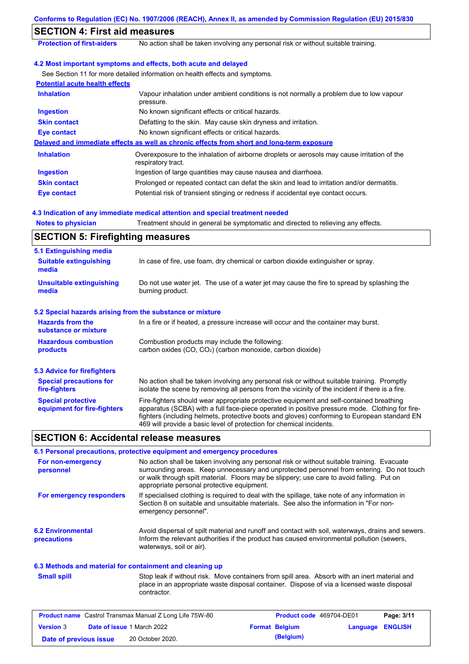|                                                           | Conforms to Regulation (EC) No. 1907/2006 (REACH), Annex II, as amended by Commission Regulation (EU) 2015/830                                                                                                                                                                                                                                                    |  |  |  |
|-----------------------------------------------------------|-------------------------------------------------------------------------------------------------------------------------------------------------------------------------------------------------------------------------------------------------------------------------------------------------------------------------------------------------------------------|--|--|--|
| <b>SECTION 4: First aid measures</b>                      |                                                                                                                                                                                                                                                                                                                                                                   |  |  |  |
| <b>Protection of first-aiders</b>                         | No action shall be taken involving any personal risk or without suitable training.                                                                                                                                                                                                                                                                                |  |  |  |
|                                                           | 4.2 Most important symptoms and effects, both acute and delayed                                                                                                                                                                                                                                                                                                   |  |  |  |
|                                                           | See Section 11 for more detailed information on health effects and symptoms.                                                                                                                                                                                                                                                                                      |  |  |  |
| <b>Potential acute health effects</b>                     |                                                                                                                                                                                                                                                                                                                                                                   |  |  |  |
| <b>Inhalation</b>                                         | Vapour inhalation under ambient conditions is not normally a problem due to low vapour<br>pressure.                                                                                                                                                                                                                                                               |  |  |  |
| <b>Ingestion</b>                                          | No known significant effects or critical hazards.                                                                                                                                                                                                                                                                                                                 |  |  |  |
| <b>Skin contact</b>                                       | Defatting to the skin. May cause skin dryness and irritation.                                                                                                                                                                                                                                                                                                     |  |  |  |
| <b>Eye contact</b>                                        | No known significant effects or critical hazards.                                                                                                                                                                                                                                                                                                                 |  |  |  |
|                                                           | Delayed and immediate effects as well as chronic effects from short and long-term exposure                                                                                                                                                                                                                                                                        |  |  |  |
| <b>Inhalation</b>                                         | Overexposure to the inhalation of airborne droplets or aerosols may cause irritation of the<br>respiratory tract.                                                                                                                                                                                                                                                 |  |  |  |
| <b>Ingestion</b>                                          | Ingestion of large quantities may cause nausea and diarrhoea.                                                                                                                                                                                                                                                                                                     |  |  |  |
| <b>Skin contact</b>                                       | Prolonged or repeated contact can defat the skin and lead to irritation and/or dermatitis.                                                                                                                                                                                                                                                                        |  |  |  |
| <b>Eye contact</b>                                        | Potential risk of transient stinging or redness if accidental eye contact occurs.                                                                                                                                                                                                                                                                                 |  |  |  |
|                                                           | 4.3 Indication of any immediate medical attention and special treatment needed                                                                                                                                                                                                                                                                                    |  |  |  |
| <b>Notes to physician</b>                                 | Treatment should in general be symptomatic and directed to relieving any effects.                                                                                                                                                                                                                                                                                 |  |  |  |
| <b>SECTION 5: Firefighting measures</b>                   |                                                                                                                                                                                                                                                                                                                                                                   |  |  |  |
| 5.1 Extinguishing media                                   |                                                                                                                                                                                                                                                                                                                                                                   |  |  |  |
| <b>Suitable extinguishing</b><br>media                    | In case of fire, use foam, dry chemical or carbon dioxide extinguisher or spray.                                                                                                                                                                                                                                                                                  |  |  |  |
| <b>Unsuitable extinguishing</b><br>media                  | Do not use water jet. The use of a water jet may cause the fire to spread by splashing the<br>burning product.                                                                                                                                                                                                                                                    |  |  |  |
| 5.2 Special hazards arising from the substance or mixture |                                                                                                                                                                                                                                                                                                                                                                   |  |  |  |
| <b>Hazards from the</b><br>substance or mixture           | In a fire or if heated, a pressure increase will occur and the container may burst.                                                                                                                                                                                                                                                                               |  |  |  |
| <b>Hazardous combustion</b><br>products                   | Combustion products may include the following:<br>carbon oxides (CO, CO <sub>2</sub> ) (carbon monoxide, carbon dioxide)                                                                                                                                                                                                                                          |  |  |  |
| <b>5.3 Advice for firefighters</b>                        |                                                                                                                                                                                                                                                                                                                                                                   |  |  |  |
| <b>Special precautions for</b><br>fire-fighters           | No action shall be taken involving any personal risk or without suitable training. Promptly<br>isolate the scene by removing all persons from the vicinity of the incident if there is a fire.                                                                                                                                                                    |  |  |  |
| <b>Special protective</b><br>equipment for fire-fighters  | Fire-fighters should wear appropriate protective equipment and self-contained breathing<br>apparatus (SCBA) with a full face-piece operated in positive pressure mode. Clothing for fire-<br>fighters (including helmets, protective boots and gloves) conforming to European standard EN<br>469 will provide a basic level of protection for chemical incidents. |  |  |  |
| <b>SECTION 6: Accidental release measures</b>             |                                                                                                                                                                                                                                                                                                                                                                   |  |  |  |
|                                                           | 6.1 Personal precautions, protective equipment and emergency procedures                                                                                                                                                                                                                                                                                           |  |  |  |
| For non-emergency<br>personnel                            | No action shall be taken involving any personal risk or without suitable training. Evacuate<br>surrounding areas. Keep unnecessary and unprotected personnel from entering. Do not touch<br>or walk through spilt material. Floors may be slippery; use care to avoid falling. Put on<br>appropriate personal protective equipment.                               |  |  |  |
| For emergency responders                                  | If specialised clothing is required to deal with the spillage, take note of any information in<br>Section 8 on suitable and unsuitable materials. See also the information in "For non-                                                                                                                                                                           |  |  |  |

| <b>6.2 Environmental</b><br>precautions | Avoid dispersal of spilt material and runoff and contact with soil, waterways, drains and sewers.<br>Inform the relevant authorities if the product has caused environmental pollution (sewers,<br>waterways, soil or air). |
|-----------------------------------------|-----------------------------------------------------------------------------------------------------------------------------------------------------------------------------------------------------------------------------|

#### **6.3 Methods and material for containment and cleaning up**

emergency personnel".

**Small spill**

Stop leak if without risk. Move containers from spill area. Absorb with an inert material and place in an appropriate waste disposal container. Dispose of via a licensed waste disposal contractor.

|                        | <b>Product name</b> Castrol Transmax Manual Z Long Life 75W-80 | <b>Product code</b> 469704-DE01 |                  | Page: 3/11 |
|------------------------|----------------------------------------------------------------|---------------------------------|------------------|------------|
| <b>Version 3</b>       | <b>Date of issue 1 March 2022</b>                              | <b>Format Belgium</b>           | Language ENGLISH |            |
| Date of previous issue | 20 October 2020.                                               | (Belgium)                       |                  |            |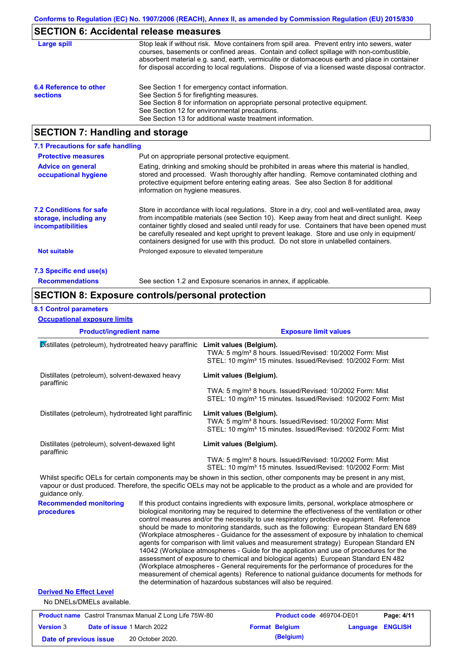# **SECTION 6: Accidental release measures**

| Large spill                               | Stop leak if without risk. Move containers from spill area. Prevent entry into sewers, water<br>courses, basements or confined areas. Contain and collect spillage with non-combustible,<br>absorbent material e.g. sand, earth, vermiculite or diatomaceous earth and place in container<br>for disposal according to local regulations. Dispose of via a licensed waste disposal contractor. |
|-------------------------------------------|------------------------------------------------------------------------------------------------------------------------------------------------------------------------------------------------------------------------------------------------------------------------------------------------------------------------------------------------------------------------------------------------|
| 6.4 Reference to other<br><b>sections</b> | See Section 1 for emergency contact information.<br>See Section 5 for firefighting measures.<br>See Section 8 for information on appropriate personal protective equipment.<br>See Section 12 for environmental precautions.<br>See Section 13 for additional waste treatment information.                                                                                                     |

# **SECTION 7: Handling and storage**

| 7.1 Precautions for safe handling                                                    |                                                                                                                                                                                                                                                                                                                                                                                                                                                                                          |
|--------------------------------------------------------------------------------------|------------------------------------------------------------------------------------------------------------------------------------------------------------------------------------------------------------------------------------------------------------------------------------------------------------------------------------------------------------------------------------------------------------------------------------------------------------------------------------------|
| <b>Protective measures</b>                                                           | Put on appropriate personal protective equipment.                                                                                                                                                                                                                                                                                                                                                                                                                                        |
| <b>Advice on general</b><br>occupational hygiene                                     | Eating, drinking and smoking should be prohibited in areas where this material is handled,<br>stored and processed. Wash thoroughly after handling. Remove contaminated clothing and<br>protective equipment before entering eating areas. See also Section 8 for additional<br>information on hygiene measures.                                                                                                                                                                         |
| <b>7.2 Conditions for safe</b><br>storage, including any<br><i>incompatibilities</i> | Store in accordance with local requlations. Store in a dry, cool and well-ventilated area, away<br>from incompatible materials (see Section 10). Keep away from heat and direct sunlight. Keep<br>container tightly closed and sealed until ready for use. Containers that have been opened must<br>be carefully resealed and kept upright to prevent leakage. Store and use only in equipment/<br>containers designed for use with this product. Do not store in unlabelled containers. |
| Not suitable                                                                         | Prolonged exposure to elevated temperature                                                                                                                                                                                                                                                                                                                                                                                                                                               |
| 7.3 Specific end use(s)                                                              |                                                                                                                                                                                                                                                                                                                                                                                                                                                                                          |
| <b>Recommendations</b>                                                               | See section 1.2 and Exposure scenarios in annex, if applicable.                                                                                                                                                                                                                                                                                                                                                                                                                          |

## **SECTION 8: Exposure controls/personal protection**

#### **8.1 Control parameters**

**Occupational exposure limits**

| <b>Product/ingredient name</b>                               |  | <b>Exposure limit values</b>                                                                                                                                                                                                                                                                                                                                                                                                                                                                                                                                                                                                                                                                                                                                                                                                                                                                                                                           |
|--------------------------------------------------------------|--|--------------------------------------------------------------------------------------------------------------------------------------------------------------------------------------------------------------------------------------------------------------------------------------------------------------------------------------------------------------------------------------------------------------------------------------------------------------------------------------------------------------------------------------------------------------------------------------------------------------------------------------------------------------------------------------------------------------------------------------------------------------------------------------------------------------------------------------------------------------------------------------------------------------------------------------------------------|
| Distillates (petroleum), hydrotreated heavy paraffinic       |  | Limit values (Belgium).<br>TWA: 5 mg/m <sup>3</sup> 8 hours. Issued/Revised: 10/2002 Form: Mist<br>STEL: 10 mg/m <sup>3</sup> 15 minutes. Issued/Revised: 10/2002 Form: Mist                                                                                                                                                                                                                                                                                                                                                                                                                                                                                                                                                                                                                                                                                                                                                                           |
| Distillates (petroleum), solvent-dewaxed heavy<br>paraffinic |  | Limit values (Belgium).<br>TWA: 5 mg/m <sup>3</sup> 8 hours. Issued/Revised: 10/2002 Form: Mist                                                                                                                                                                                                                                                                                                                                                                                                                                                                                                                                                                                                                                                                                                                                                                                                                                                        |
|                                                              |  | STEL: 10 mg/m <sup>3</sup> 15 minutes. Issued/Revised: 10/2002 Form: Mist                                                                                                                                                                                                                                                                                                                                                                                                                                                                                                                                                                                                                                                                                                                                                                                                                                                                              |
| Distillates (petroleum), hydrotreated light paraffinic       |  | Limit values (Belgium).<br>TWA: 5 mg/m <sup>3</sup> 8 hours. Issued/Revised: 10/2002 Form: Mist<br>STEL: 10 mg/m <sup>3</sup> 15 minutes. Issued/Revised: 10/2002 Form: Mist                                                                                                                                                                                                                                                                                                                                                                                                                                                                                                                                                                                                                                                                                                                                                                           |
| Distillates (petroleum), solvent-dewaxed light<br>paraffinic |  | Limit values (Belgium).                                                                                                                                                                                                                                                                                                                                                                                                                                                                                                                                                                                                                                                                                                                                                                                                                                                                                                                                |
|                                                              |  | TWA: 5 mg/m <sup>3</sup> 8 hours. Issued/Revised: 10/2002 Form: Mist<br>STEL: 10 mg/m <sup>3</sup> 15 minutes. Issued/Revised: 10/2002 Form: Mist                                                                                                                                                                                                                                                                                                                                                                                                                                                                                                                                                                                                                                                                                                                                                                                                      |
| guidance only.                                               |  | Whilst specific OELs for certain components may be shown in this section, other components may be present in any mist,<br>vapour or dust produced. Therefore, the specific OELs may not be applicable to the product as a whole and are provided for                                                                                                                                                                                                                                                                                                                                                                                                                                                                                                                                                                                                                                                                                                   |
| <b>Recommended monitoring</b><br>procedures                  |  | If this product contains ingredients with exposure limits, personal, workplace atmosphere or<br>biological monitoring may be required to determine the effectiveness of the ventilation or other<br>control measures and/or the necessity to use respiratory protective equipment. Reference<br>should be made to monitoring standards, such as the following: European Standard EN 689<br>(Workplace atmospheres - Guidance for the assessment of exposure by inhalation to chemical<br>agents for comparison with limit values and measurement strategy) European Standard EN<br>14042 (Workplace atmospheres - Guide for the application and use of procedures for the<br>assessment of exposure to chemical and biological agents) European Standard EN 482<br>(Workplace atmospheres - General requirements for the performance of procedures for the<br>measurement of chemical agents) Reference to national guidance documents for methods for |

#### **Derived No Effect Level**

No DNELs/DMELs available.

| <b>Product name</b> Castrol Transmax Manual Z Long Life 75W-80 |  |                                   | <b>Product code</b> 469704-DE01 |                       | Page: 4/11              |  |
|----------------------------------------------------------------|--|-----------------------------------|---------------------------------|-----------------------|-------------------------|--|
| <b>Version 3</b>                                               |  | <b>Date of issue 1 March 2022</b> |                                 | <b>Format Belgium</b> | <b>Language ENGLISH</b> |  |
| Date of previous issue                                         |  | 20 October 2020.                  |                                 | (Belgium)             |                         |  |

the determination of hazardous substances will also be required.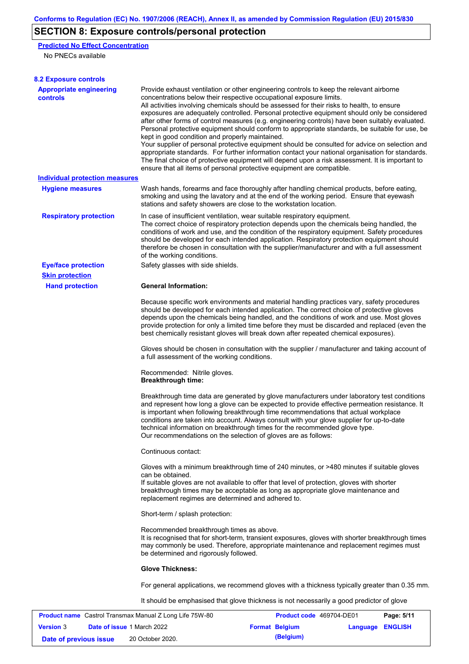# **SECTION 8: Exposure controls/personal protection**

**Predicted No Effect Concentration**

No PNECs available

| <b>8.2 Exposure controls</b>                                   |                                                                                                                                                                                                                                                                                                                                                                                                                                                                                                                                                                                                                                                                                                                                                                                                                                                                                                                                                                                                         |                                 |            |  |  |
|----------------------------------------------------------------|---------------------------------------------------------------------------------------------------------------------------------------------------------------------------------------------------------------------------------------------------------------------------------------------------------------------------------------------------------------------------------------------------------------------------------------------------------------------------------------------------------------------------------------------------------------------------------------------------------------------------------------------------------------------------------------------------------------------------------------------------------------------------------------------------------------------------------------------------------------------------------------------------------------------------------------------------------------------------------------------------------|---------------------------------|------------|--|--|
| <b>Appropriate engineering</b><br>controls                     | Provide exhaust ventilation or other engineering controls to keep the relevant airborne<br>concentrations below their respective occupational exposure limits.<br>All activities involving chemicals should be assessed for their risks to health, to ensure<br>exposures are adequately controlled. Personal protective equipment should only be considered<br>after other forms of control measures (e.g. engineering controls) have been suitably evaluated.<br>Personal protective equipment should conform to appropriate standards, be suitable for use, be<br>kept in good condition and properly maintained.<br>Your supplier of personal protective equipment should be consulted for advice on selection and<br>appropriate standards. For further information contact your national organisation for standards.<br>The final choice of protective equipment will depend upon a risk assessment. It is important to<br>ensure that all items of personal protective equipment are compatible. |                                 |            |  |  |
| <b>Individual protection measures</b>                          |                                                                                                                                                                                                                                                                                                                                                                                                                                                                                                                                                                                                                                                                                                                                                                                                                                                                                                                                                                                                         |                                 |            |  |  |
| <b>Hygiene measures</b>                                        | Wash hands, forearms and face thoroughly after handling chemical products, before eating,<br>smoking and using the lavatory and at the end of the working period. Ensure that eyewash<br>stations and safety showers are close to the workstation location.                                                                                                                                                                                                                                                                                                                                                                                                                                                                                                                                                                                                                                                                                                                                             |                                 |            |  |  |
| <b>Respiratory protection</b>                                  | In case of insufficient ventilation, wear suitable respiratory equipment.<br>The correct choice of respiratory protection depends upon the chemicals being handled, the<br>conditions of work and use, and the condition of the respiratory equipment. Safety procedures<br>should be developed for each intended application. Respiratory protection equipment should<br>therefore be chosen in consultation with the supplier/manufacturer and with a full assessment<br>of the working conditions.                                                                                                                                                                                                                                                                                                                                                                                                                                                                                                   |                                 |            |  |  |
| <b>Eye/face protection</b>                                     | Safety glasses with side shields.                                                                                                                                                                                                                                                                                                                                                                                                                                                                                                                                                                                                                                                                                                                                                                                                                                                                                                                                                                       |                                 |            |  |  |
| <b>Skin protection</b>                                         |                                                                                                                                                                                                                                                                                                                                                                                                                                                                                                                                                                                                                                                                                                                                                                                                                                                                                                                                                                                                         |                                 |            |  |  |
| <b>Hand protection</b>                                         | <b>General Information:</b>                                                                                                                                                                                                                                                                                                                                                                                                                                                                                                                                                                                                                                                                                                                                                                                                                                                                                                                                                                             |                                 |            |  |  |
|                                                                | Because specific work environments and material handling practices vary, safety procedures<br>should be developed for each intended application. The correct choice of protective gloves<br>depends upon the chemicals being handled, and the conditions of work and use. Most gloves<br>provide protection for only a limited time before they must be discarded and replaced (even the<br>best chemically resistant gloves will break down after repeated chemical exposures).                                                                                                                                                                                                                                                                                                                                                                                                                                                                                                                        |                                 |            |  |  |
|                                                                | Gloves should be chosen in consultation with the supplier / manufacturer and taking account of<br>a full assessment of the working conditions.                                                                                                                                                                                                                                                                                                                                                                                                                                                                                                                                                                                                                                                                                                                                                                                                                                                          |                                 |            |  |  |
|                                                                | Recommended: Nitrile gloves.<br><b>Breakthrough time:</b>                                                                                                                                                                                                                                                                                                                                                                                                                                                                                                                                                                                                                                                                                                                                                                                                                                                                                                                                               |                                 |            |  |  |
|                                                                | Breakthrough time data are generated by glove manufacturers under laboratory test conditions<br>and represent how long a glove can be expected to provide effective permeation resistance. It<br>is important when following breakthrough time recommendations that actual workplace<br>conditions are taken into account. Always consult with your glove supplier for up-to-date<br>technical information on breakthrough times for the recommended glove type.<br>Our recommendations on the selection of gloves are as follows:                                                                                                                                                                                                                                                                                                                                                                                                                                                                      |                                 |            |  |  |
|                                                                | Continuous contact:                                                                                                                                                                                                                                                                                                                                                                                                                                                                                                                                                                                                                                                                                                                                                                                                                                                                                                                                                                                     |                                 |            |  |  |
|                                                                | Gloves with a minimum breakthrough time of 240 minutes, or >480 minutes if suitable gloves<br>can be obtained.<br>If suitable gloves are not available to offer that level of protection, gloves with shorter<br>breakthrough times may be acceptable as long as appropriate glove maintenance and<br>replacement regimes are determined and adhered to.                                                                                                                                                                                                                                                                                                                                                                                                                                                                                                                                                                                                                                                |                                 |            |  |  |
|                                                                |                                                                                                                                                                                                                                                                                                                                                                                                                                                                                                                                                                                                                                                                                                                                                                                                                                                                                                                                                                                                         |                                 |            |  |  |
|                                                                | Short-term / splash protection:                                                                                                                                                                                                                                                                                                                                                                                                                                                                                                                                                                                                                                                                                                                                                                                                                                                                                                                                                                         |                                 |            |  |  |
|                                                                | Recommended breakthrough times as above.<br>It is recognised that for short-term, transient exposures, gloves with shorter breakthrough times<br>may commonly be used. Therefore, appropriate maintenance and replacement regimes must<br>be determined and rigorously followed.                                                                                                                                                                                                                                                                                                                                                                                                                                                                                                                                                                                                                                                                                                                        |                                 |            |  |  |
|                                                                | <b>Glove Thickness:</b>                                                                                                                                                                                                                                                                                                                                                                                                                                                                                                                                                                                                                                                                                                                                                                                                                                                                                                                                                                                 |                                 |            |  |  |
|                                                                | For general applications, we recommend gloves with a thickness typically greater than 0.35 mm.                                                                                                                                                                                                                                                                                                                                                                                                                                                                                                                                                                                                                                                                                                                                                                                                                                                                                                          |                                 |            |  |  |
|                                                                | It should be emphasised that glove thickness is not necessarily a good predictor of glove                                                                                                                                                                                                                                                                                                                                                                                                                                                                                                                                                                                                                                                                                                                                                                                                                                                                                                               |                                 |            |  |  |
| <b>Product name</b> Castrol Transmax Manual Z Long Life 75W-80 |                                                                                                                                                                                                                                                                                                                                                                                                                                                                                                                                                                                                                                                                                                                                                                                                                                                                                                                                                                                                         | <b>Product code</b> 469704-DE01 | Page: 5/11 |  |  |

| .                      |                                   |  |                       |                  |  |
|------------------------|-----------------------------------|--|-----------------------|------------------|--|
| <b>Version 3</b>       | <b>Date of issue 1 March 2022</b> |  | <b>Format Belgium</b> | Language ENGLISH |  |
| Date of previous issue | 20 October 2020.                  |  | (Belgium)             |                  |  |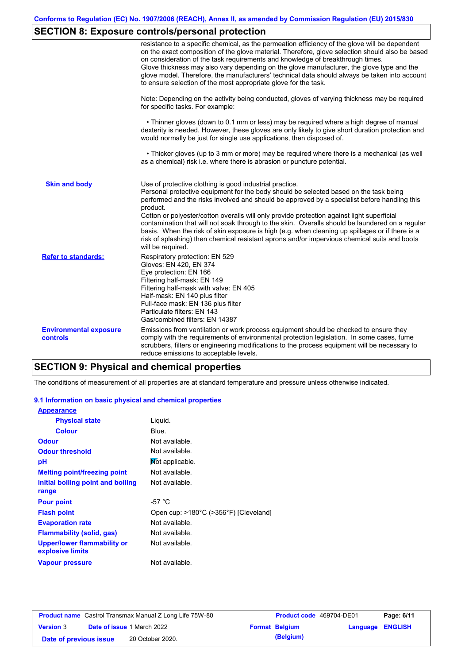## **SECTION 8: Exposure controls/personal protection**

|                                           | resistance to a specific chemical, as the permeation efficiency of the glove will be dependent<br>on the exact composition of the glove material. Therefore, glove selection should also be based<br>on consideration of the task requirements and knowledge of breakthrough times.<br>Glove thickness may also vary depending on the glove manufacturer, the glove type and the<br>glove model. Therefore, the manufacturers' technical data should always be taken into account<br>to ensure selection of the most appropriate glove for the task.                                                                                                                                  |
|-------------------------------------------|---------------------------------------------------------------------------------------------------------------------------------------------------------------------------------------------------------------------------------------------------------------------------------------------------------------------------------------------------------------------------------------------------------------------------------------------------------------------------------------------------------------------------------------------------------------------------------------------------------------------------------------------------------------------------------------|
|                                           | Note: Depending on the activity being conducted, gloves of varying thickness may be required<br>for specific tasks. For example:                                                                                                                                                                                                                                                                                                                                                                                                                                                                                                                                                      |
|                                           | • Thinner gloves (down to 0.1 mm or less) may be required where a high degree of manual<br>dexterity is needed. However, these gloves are only likely to give short duration protection and<br>would normally be just for single use applications, then disposed of.                                                                                                                                                                                                                                                                                                                                                                                                                  |
|                                           | • Thicker gloves (up to 3 mm or more) may be required where there is a mechanical (as well<br>as a chemical) risk i.e. where there is abrasion or puncture potential.                                                                                                                                                                                                                                                                                                                                                                                                                                                                                                                 |
| <b>Skin and body</b>                      | Use of protective clothing is good industrial practice.<br>Personal protective equipment for the body should be selected based on the task being<br>performed and the risks involved and should be approved by a specialist before handling this<br>product.<br>Cotton or polyester/cotton overalls will only provide protection against light superficial<br>contamination that will not soak through to the skin. Overalls should be laundered on a regular<br>basis. When the risk of skin exposure is high (e.g. when cleaning up spillages or if there is a<br>risk of splashing) then chemical resistant aprons and/or impervious chemical suits and boots<br>will be required. |
| <b>Refer to standards:</b>                | Respiratory protection: EN 529<br>Gloves: EN 420, EN 374<br>Eye protection: EN 166<br>Filtering half-mask: EN 149<br>Filtering half-mask with valve: EN 405<br>Half-mask: EN 140 plus filter<br>Full-face mask: EN 136 plus filter<br>Particulate filters: EN 143<br>Gas/combined filters: EN 14387                                                                                                                                                                                                                                                                                                                                                                                   |
| <b>Environmental exposure</b><br>controls | Emissions from ventilation or work process equipment should be checked to ensure they<br>comply with the requirements of environmental protection legislation. In some cases, fume<br>scrubbers, filters or engineering modifications to the process equipment will be necessary to<br>reduce emissions to acceptable levels.                                                                                                                                                                                                                                                                                                                                                         |

## **SECTION 9: Physical and chemical properties**

The conditions of measurement of all properties are at standard temperature and pressure unless otherwise indicated.

#### **9.1 Information on basic physical and chemical properties**

| <b>Appearance</b>                                      |                                       |
|--------------------------------------------------------|---------------------------------------|
| <b>Physical state</b>                                  | Liquid.                               |
| <b>Colour</b>                                          | Blue.                                 |
| <b>Odour</b>                                           | Not available.                        |
| <b>Odour threshold</b>                                 | Not available.                        |
| рH                                                     | Mot applicable.                       |
| <b>Melting point/freezing point</b>                    | Not available.                        |
| Initial boiling point and boiling                      | Not available.                        |
| range                                                  |                                       |
| <b>Pour point</b>                                      | -57 °C                                |
| <b>Flash point</b>                                     | Open cup: >180°C (>356°F) [Cleveland] |
| <b>Evaporation rate</b>                                | Not available.                        |
| <b>Flammability (solid, gas)</b>                       | Not available.                        |
| <b>Upper/lower flammability or</b><br>explosive limits | Not available.                        |
| <b>Vapour pressure</b>                                 | Not available.                        |

| <b>Product name</b> Castrol Transmax Manual Z Long Life 75W-80 |  |                                   | Product code 469704-DE01 |                       | Page: 6/11              |  |
|----------------------------------------------------------------|--|-----------------------------------|--------------------------|-----------------------|-------------------------|--|
| <b>Version 3</b>                                               |  | <b>Date of issue 1 March 2022</b> |                          | <b>Format Belgium</b> | <b>Language ENGLISH</b> |  |
| Date of previous issue                                         |  | 20 October 2020.                  |                          | (Belgium)             |                         |  |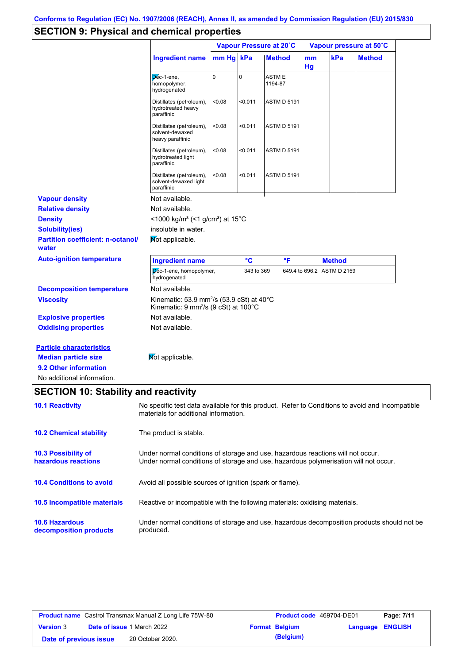# **SECTION 9: Physical and chemical properties**

|                                                                                         |                                                                                                                                          |           |             | Vapour Pressure at 20°C | Vapour pressure at 50°C |                            |               |
|-----------------------------------------------------------------------------------------|------------------------------------------------------------------------------------------------------------------------------------------|-----------|-------------|-------------------------|-------------------------|----------------------------|---------------|
|                                                                                         | <b>Ingredient name</b>                                                                                                                   | mm Hg kPa |             | <b>Method</b>           | mm<br>Hg                | kPa                        | <b>Method</b> |
|                                                                                         | $\overline{p}$ e-1-ene,<br>homopolymer,<br>hydrogenated                                                                                  | 0         | $\mathbf 0$ | ASTM E<br>1194-87       |                         |                            |               |
|                                                                                         | Distillates (petroleum),<br>hydrotreated heavy<br>paraffinic                                                                             | < 0.08    | < 0.011     | <b>ASTM D 5191</b>      |                         |                            |               |
|                                                                                         | Distillates (petroleum),<br>solvent-dewaxed<br>heavy paraffinic                                                                          | < 0.08    | < 0.011     | <b>ASTM D 5191</b>      |                         |                            |               |
|                                                                                         | Distillates (petroleum),<br>hydrotreated light<br>paraffinic                                                                             | < 0.08    | < 0.011     | <b>ASTM D 5191</b>      |                         |                            |               |
|                                                                                         | Distillates (petroleum),<br>solvent-dewaxed light<br>paraffinic                                                                          | < 0.08    | < 0.011     | <b>ASTM D 5191</b>      |                         |                            |               |
| <b>Vapour density</b>                                                                   | Not available.                                                                                                                           |           |             |                         |                         |                            |               |
| <b>Relative density</b>                                                                 | Not available.                                                                                                                           |           |             |                         |                         |                            |               |
| <b>Density</b>                                                                          | <1000 kg/m <sup>3</sup> (<1 g/cm <sup>3</sup> ) at 15 <sup>°</sup> C                                                                     |           |             |                         |                         |                            |               |
| <b>Solubility(ies)</b>                                                                  | insoluble in water.                                                                                                                      |           |             |                         |                         |                            |               |
| <b>Partition coefficient: n-octanol/</b><br>water                                       | Mot applicable.                                                                                                                          |           |             |                         |                         |                            |               |
| <b>Auto-ignition temperature</b>                                                        | <b>Ingredient name</b>                                                                                                                   |           | °C          | °F                      |                         | <b>Method</b>              |               |
|                                                                                         | Dec-1-ene, homopolymer,<br>hydrogenated                                                                                                  |           | 343 to 369  |                         |                         | 649.4 to 696.2 ASTM D 2159 |               |
| <b>Decomposition temperature</b>                                                        | Not available.                                                                                                                           |           |             |                         |                         |                            |               |
| <b>Viscosity</b>                                                                        | Kinematic: 53.9 mm <sup>2</sup> /s (53.9 cSt) at 40 $^{\circ}$ C<br>Kinematic: 9 mm <sup>2</sup> /s (9 cSt) at 100°C                     |           |             |                         |                         |                            |               |
| <b>Explosive properties</b>                                                             | Not available.                                                                                                                           |           |             |                         |                         |                            |               |
| <b>Oxidising properties</b>                                                             | Not available.                                                                                                                           |           |             |                         |                         |                            |               |
| <b>Particle characteristics</b><br><b>Median particle size</b><br>9.2 Other information | Not applicable.                                                                                                                          |           |             |                         |                         |                            |               |
| No additional information.                                                              |                                                                                                                                          |           |             |                         |                         |                            |               |
| <b>SECTION 10: Stability and reactivity</b>                                             |                                                                                                                                          |           |             |                         |                         |                            |               |
| <b>10.1 Reactivity</b>                                                                  | No specific test data available for this product. Refer to Conditions to avoid and Incompatible<br>materials for additional information. |           |             |                         |                         |                            |               |
| <b>10.2 Chemical stability</b>                                                          | The product is stable.                                                                                                                   |           |             |                         |                         |                            |               |
| <b>10.3 Possibility of</b>                                                              | Under normal conditions of storage and use, hazardous reactions will not occur.                                                          |           |             |                         |                         |                            |               |
| hazardous reactions                                                                     | Under normal conditions of storage and use, hazardous polymerisation will not occur.                                                     |           |             |                         |                         |                            |               |
| <b>10.4 Conditions to avoid</b>                                                         | Avoid all possible sources of ignition (spark or flame).                                                                                 |           |             |                         |                         |                            |               |
| 10.5 Incompatible materials                                                             | Reactive or incompatible with the following materials: oxidising materials.                                                              |           |             |                         |                         |                            |               |
| <b>10.6 Hazardous</b><br>decomposition products                                         | Under normal conditions of storage and use, hazardous decomposition products should not be<br>produced.                                  |           |             |                         |                         |                            |               |
|                                                                                         |                                                                                                                                          |           |             |                         |                         |                            |               |

| <b>Product name</b> Castrol Transmax Manual Z Long Life 75W-80 |  |                                   | <b>Product code</b> 469704-DE01 |                       | Page: 7/11       |  |
|----------------------------------------------------------------|--|-----------------------------------|---------------------------------|-----------------------|------------------|--|
| <b>Version 3</b>                                               |  | <b>Date of issue 1 March 2022</b> |                                 | <b>Format Belgium</b> | Language ENGLISH |  |
| Date of previous issue                                         |  | 20 October 2020.                  |                                 | (Belgium)             |                  |  |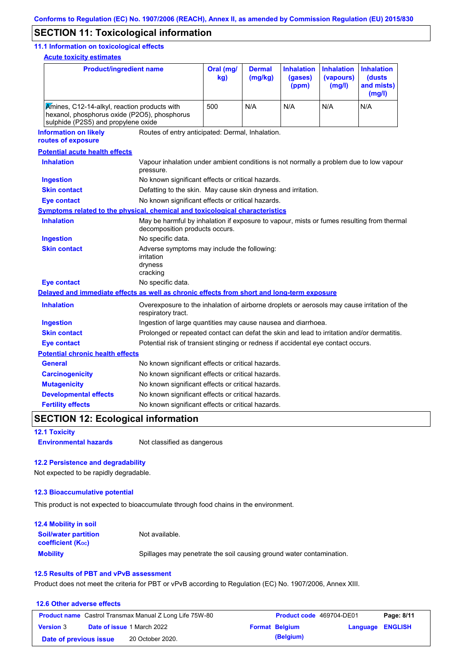## **SECTION 11: Toxicological information**

#### **11.1 Information on toxicological effects**

**Acute toxicity estimates**

| <b>Product/ingredient name</b>                                                                                                      |                                                                                                                   | Oral (mg/<br>kg)                                                                                                            | <b>Dermal</b><br>(mg/kg) | <b>Inhalation</b><br>(gases)<br>(ppm) | <b>Inhalation</b><br>(vapours)<br>(mg/l) | <b>Inhalation</b><br>(dusts<br>and mists)<br>(mg/l) |
|-------------------------------------------------------------------------------------------------------------------------------------|-------------------------------------------------------------------------------------------------------------------|-----------------------------------------------------------------------------------------------------------------------------|--------------------------|---------------------------------------|------------------------------------------|-----------------------------------------------------|
| Amines, C12-14-alkyl, reaction products with<br>hexanol, phosphorus oxide (P2O5), phosphorus<br>sulphide (P2S5) and propylene oxide | 500                                                                                                               | N/A                                                                                                                         | N/A                      | N/A                                   | N/A                                      |                                                     |
| <b>Information on likely</b><br>routes of exposure                                                                                  | Routes of entry anticipated: Dermal, Inhalation.                                                                  |                                                                                                                             |                          |                                       |                                          |                                                     |
| <b>Potential acute health effects</b>                                                                                               |                                                                                                                   |                                                                                                                             |                          |                                       |                                          |                                                     |
| <b>Inhalation</b>                                                                                                                   | Vapour inhalation under ambient conditions is not normally a problem due to low vapour<br>pressure.               |                                                                                                                             |                          |                                       |                                          |                                                     |
| <b>Ingestion</b>                                                                                                                    | No known significant effects or critical hazards.                                                                 |                                                                                                                             |                          |                                       |                                          |                                                     |
| <b>Skin contact</b>                                                                                                                 | Defatting to the skin. May cause skin dryness and irritation.                                                     |                                                                                                                             |                          |                                       |                                          |                                                     |
| <b>Eye contact</b>                                                                                                                  | No known significant effects or critical hazards.                                                                 |                                                                                                                             |                          |                                       |                                          |                                                     |
| <b>Symptoms related to the physical, chemical and toxicological characteristics</b>                                                 |                                                                                                                   |                                                                                                                             |                          |                                       |                                          |                                                     |
| <b>Inhalation</b>                                                                                                                   |                                                                                                                   | May be harmful by inhalation if exposure to vapour, mists or fumes resulting from thermal<br>decomposition products occurs. |                          |                                       |                                          |                                                     |
| <b>Ingestion</b>                                                                                                                    | No specific data.                                                                                                 |                                                                                                                             |                          |                                       |                                          |                                                     |
| <b>Skin contact</b>                                                                                                                 | irritation<br>dryness<br>cracking                                                                                 | Adverse symptoms may include the following:                                                                                 |                          |                                       |                                          |                                                     |
| <b>Eye contact</b>                                                                                                                  | No specific data.                                                                                                 |                                                                                                                             |                          |                                       |                                          |                                                     |
| Delayed and immediate effects as well as chronic effects from short and long-term exposure                                          |                                                                                                                   |                                                                                                                             |                          |                                       |                                          |                                                     |
| <b>Inhalation</b>                                                                                                                   | Overexposure to the inhalation of airborne droplets or aerosols may cause irritation of the<br>respiratory tract. |                                                                                                                             |                          |                                       |                                          |                                                     |
| <b>Ingestion</b>                                                                                                                    |                                                                                                                   | Ingestion of large quantities may cause nausea and diarrhoea.                                                               |                          |                                       |                                          |                                                     |
| <b>Skin contact</b>                                                                                                                 | Prolonged or repeated contact can defat the skin and lead to irritation and/or dermatitis.                        |                                                                                                                             |                          |                                       |                                          |                                                     |
| <b>Eye contact</b>                                                                                                                  | Potential risk of transient stinging or redness if accidental eye contact occurs.                                 |                                                                                                                             |                          |                                       |                                          |                                                     |
| <b>Potential chronic health effects</b>                                                                                             |                                                                                                                   |                                                                                                                             |                          |                                       |                                          |                                                     |
| <b>General</b>                                                                                                                      | No known significant effects or critical hazards.                                                                 |                                                                                                                             |                          |                                       |                                          |                                                     |
| <b>Carcinogenicity</b>                                                                                                              | No known significant effects or critical hazards.                                                                 |                                                                                                                             |                          |                                       |                                          |                                                     |
| <b>Mutagenicity</b>                                                                                                                 | No known significant effects or critical hazards.                                                                 |                                                                                                                             |                          |                                       |                                          |                                                     |
| <b>Developmental effects</b>                                                                                                        | No known significant effects or critical hazards.                                                                 |                                                                                                                             |                          |                                       |                                          |                                                     |
| <b>Fertility effects</b>                                                                                                            | No known significant effects or critical hazards.                                                                 |                                                                                                                             |                          |                                       |                                          |                                                     |

## **SECTION 12: Ecological information**

**12.1 Toxicity**

**Environmental hazards** Not classified as dangerous

#### **12.2 Persistence and degradability**

Not expected to be rapidly degradable.

#### **12.3 Bioaccumulative potential**

This product is not expected to bioaccumulate through food chains in the environment.

| <b>12.4 Mobility in soil</b>                            |                                                                      |
|---------------------------------------------------------|----------------------------------------------------------------------|
| <b>Soil/water partition</b><br><b>coefficient (Koc)</b> | Not available.                                                       |
| <b>Mobility</b>                                         | Spillages may penetrate the soil causing ground water contamination. |

#### **12.5 Results of PBT and vPvB assessment**

Product does not meet the criteria for PBT or vPvB according to Regulation (EC) No. 1907/2006, Annex XIII.

#### **12.6 Other adverse effects Product name** Castrol Transmax Manual Z Long Life 75W-80 **Product code** 469704-DE01 **Page: 8/11 Version** 3 **Date of issue** 1 March 2022 **Format Belgium Language ENGLISH Date of previous issue 20 October 2020. (Belgium)**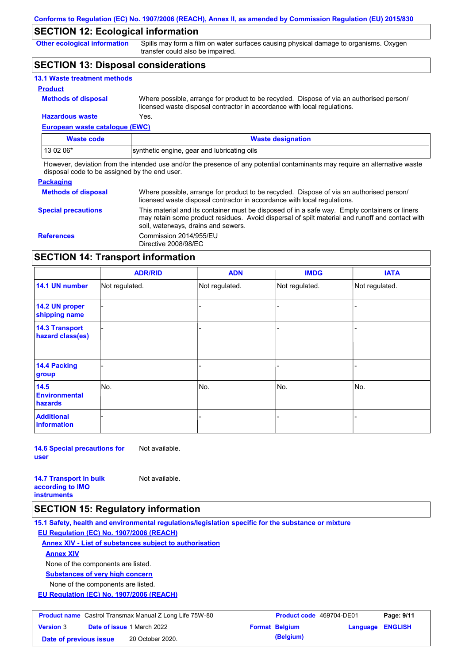## **SECTION 12: Ecological information**

**Other ecological information**

Spills may form a film on water surfaces causing physical damage to organisms. Oxygen transfer could also be impaired.

## **SECTION 13: Disposal considerations**

| <b>13.1 Waste treatment methods</b> |                                                                                                                                                                      |
|-------------------------------------|----------------------------------------------------------------------------------------------------------------------------------------------------------------------|
| <b>Product</b>                      |                                                                                                                                                                      |
| <b>Methods of disposal</b>          | Where possible, arrange for product to be recycled. Dispose of via an authorised person/<br>licensed waste disposal contractor in accordance with local regulations. |
| <b>Hazardous waste</b>              | Yes.                                                                                                                                                                 |

## **European waste catalogue (EWC)**

| Waste code | <b>Waste designation</b>                    |
|------------|---------------------------------------------|
| 13 02 06*  | synthetic engine, gear and lubricating oils |

However, deviation from the intended use and/or the presence of any potential contaminants may require an alternative waste disposal code to be assigned by the end user.

#### **Packaging**

| <b>Methods of disposal</b> | Where possible, arrange for product to be recycled. Dispose of via an authorised person/<br>licensed waste disposal contractor in accordance with local regulations.                                                                    |
|----------------------------|-----------------------------------------------------------------------------------------------------------------------------------------------------------------------------------------------------------------------------------------|
| <b>Special precautions</b> | This material and its container must be disposed of in a safe way. Empty containers or liners<br>may retain some product residues. Avoid dispersal of spilt material and runoff and contact with<br>soil, waterways, drains and sewers. |
| <b>References</b>          | Commission 2014/955/EU<br>Directive 2008/98/EC                                                                                                                                                                                          |

## **SECTION 14: Transport information**

|                                           | <b>ADR/RID</b> | <b>ADN</b>     | <b>IMDG</b>    | <b>IATA</b>    |
|-------------------------------------------|----------------|----------------|----------------|----------------|
| 14.1 UN number                            | Not regulated. | Not regulated. | Not regulated. | Not regulated. |
| 14.2 UN proper<br>shipping name           |                |                |                |                |
| <b>14.3 Transport</b><br>hazard class(es) |                |                | -              |                |
| 14.4 Packing<br>group                     |                |                |                |                |
| 14.5<br><b>Environmental</b><br>hazards   | No.            | No.            | No.            | No.            |
| <b>Additional</b><br>information          |                |                | -              |                |

**14.6 Special precautions for user** Not available.

**14.7 Transport in bulk according to IMO** 

Not available.

**instruments**

### **SECTION 15: Regulatory information**

**15.1 Safety, health and environmental regulations/legislation specific for the substance or mixture**

**EU Regulation (EC) No. 1907/2006 (REACH)**

**Annex XIV - List of substances subject to authorisation**

**Annex XIV**

None of the components are listed.

**Substances of very high concern**

None of the components are listed.

**EU Regulation (EC) No. 1907/2006 (REACH)**

| <b>Product name</b> Castrol Transmax Manual Z Long Life 75W-80 |                                   |                  | <b>Product code</b> 469704-DE01 |                       | Page: 9/11              |  |
|----------------------------------------------------------------|-----------------------------------|------------------|---------------------------------|-----------------------|-------------------------|--|
| <b>Version 3</b>                                               | <b>Date of issue 1 March 2022</b> |                  |                                 | <b>Format Belgium</b> | <b>Language ENGLISH</b> |  |
| Date of previous issue                                         |                                   | 20 October 2020. |                                 | (Belgium)             |                         |  |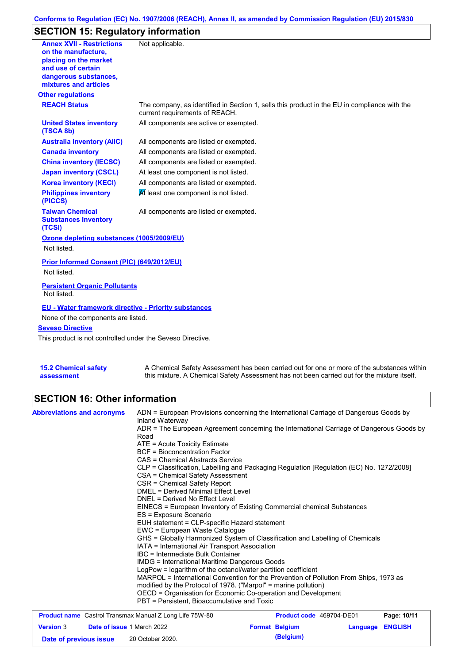#### **Conforms to Regulation (EC) No. 1907/2006 (REACH), Annex II, as amended by Commission Regulation (EU) 2015/830**

## **SECTION 15: Regulatory information**

| <b>Annex XVII - Restrictions</b>                                | Not applicable.                                                                                                                |
|-----------------------------------------------------------------|--------------------------------------------------------------------------------------------------------------------------------|
| on the manufacture,                                             |                                                                                                                                |
| placing on the market<br>and use of certain                     |                                                                                                                                |
| dangerous substances,                                           |                                                                                                                                |
| mixtures and articles                                           |                                                                                                                                |
| <b>Other regulations</b>                                        |                                                                                                                                |
| <b>REACH Status</b>                                             | The company, as identified in Section 1, sells this product in the EU in compliance with the<br>current requirements of REACH. |
| <b>United States inventory</b><br>(TSCA 8b)                     | All components are active or exempted.                                                                                         |
| <b>Australia inventory (AIIC)</b>                               | All components are listed or exempted.                                                                                         |
| <b>Canada inventory</b>                                         | All components are listed or exempted.                                                                                         |
| <b>China inventory (IECSC)</b>                                  | All components are listed or exempted.                                                                                         |
| <b>Japan inventory (CSCL)</b>                                   | At least one component is not listed.                                                                                          |
| <b>Korea inventory (KECI)</b>                                   | All components are listed or exempted.                                                                                         |
| <b>Philippines inventory</b><br>(PICCS)                         | At least one component is not listed.                                                                                          |
| <b>Taiwan Chemical</b><br><b>Substances Inventory</b><br>(TCSI) | All components are listed or exempted.                                                                                         |
| Ozone depleting substances (1005/2009/EU)                       |                                                                                                                                |
| Not listed.                                                     |                                                                                                                                |
| Prior Informed Consent (PIC) (649/2012/EU)                      |                                                                                                                                |
| Not listed.                                                     |                                                                                                                                |
| <b>Persistent Organic Pollutants</b><br>Not listed.             |                                                                                                                                |
| <b>EU - Water framework directive - Priority substances</b>     |                                                                                                                                |
| None of the components are listed.                              |                                                                                                                                |
| <b>Seveso Directive</b>                                         |                                                                                                                                |
| This product is not controlled under the Seveso Directive.      |                                                                                                                                |
|                                                                 |                                                                                                                                |
| <b>15.2 Chemical safety</b>                                     | A Chemical Safety Assessment has been carried out for one or more of the substances within                                     |

this mixture. A Chemical Safety Assessment has not been carried out for the mixture itself.

### **SECTION 16: Other information**

**assessment**

| <b>Abbreviations and acronyms</b>                              | ADN = European Provisions concerning the International Carriage of Dangerous Goods by                                                                                                                                                                                                                                                                                                                                                                                                                                                                                     |                          |          |                |  |  |  |
|----------------------------------------------------------------|---------------------------------------------------------------------------------------------------------------------------------------------------------------------------------------------------------------------------------------------------------------------------------------------------------------------------------------------------------------------------------------------------------------------------------------------------------------------------------------------------------------------------------------------------------------------------|--------------------------|----------|----------------|--|--|--|
|                                                                | Inland Waterway                                                                                                                                                                                                                                                                                                                                                                                                                                                                                                                                                           |                          |          |                |  |  |  |
|                                                                | ADR = The European Agreement concerning the International Carriage of Dangerous Goods by<br>Road                                                                                                                                                                                                                                                                                                                                                                                                                                                                          |                          |          |                |  |  |  |
|                                                                | $ATE =$ Acute Toxicity Estimate                                                                                                                                                                                                                                                                                                                                                                                                                                                                                                                                           |                          |          |                |  |  |  |
|                                                                | <b>BCF</b> = Bioconcentration Factor                                                                                                                                                                                                                                                                                                                                                                                                                                                                                                                                      |                          |          |                |  |  |  |
|                                                                | CAS = Chemical Abstracts Service                                                                                                                                                                                                                                                                                                                                                                                                                                                                                                                                          |                          |          |                |  |  |  |
|                                                                | CLP = Classification, Labelling and Packaging Regulation [Regulation (EC) No. 1272/2008]<br>CSA = Chemical Safety Assessment<br>CSR = Chemical Safety Report<br><b>DMEL = Derived Minimal Effect Level</b><br>DNEL = Derived No Effect Level                                                                                                                                                                                                                                                                                                                              |                          |          |                |  |  |  |
|                                                                |                                                                                                                                                                                                                                                                                                                                                                                                                                                                                                                                                                           |                          |          |                |  |  |  |
|                                                                |                                                                                                                                                                                                                                                                                                                                                                                                                                                                                                                                                                           |                          |          |                |  |  |  |
|                                                                |                                                                                                                                                                                                                                                                                                                                                                                                                                                                                                                                                                           |                          |          |                |  |  |  |
|                                                                |                                                                                                                                                                                                                                                                                                                                                                                                                                                                                                                                                                           |                          |          |                |  |  |  |
|                                                                | EINECS = European Inventory of Existing Commercial chemical Substances                                                                                                                                                                                                                                                                                                                                                                                                                                                                                                    |                          |          |                |  |  |  |
|                                                                | ES = Exposure Scenario<br>EUH statement = CLP-specific Hazard statement                                                                                                                                                                                                                                                                                                                                                                                                                                                                                                   |                          |          |                |  |  |  |
|                                                                |                                                                                                                                                                                                                                                                                                                                                                                                                                                                                                                                                                           |                          |          |                |  |  |  |
|                                                                | EWC = European Waste Catalogue                                                                                                                                                                                                                                                                                                                                                                                                                                                                                                                                            |                          |          |                |  |  |  |
|                                                                | GHS = Globally Harmonized System of Classification and Labelling of Chemicals<br>IATA = International Air Transport Association<br>IBC = Intermediate Bulk Container<br><b>IMDG</b> = International Maritime Dangerous Goods<br>LogPow = logarithm of the octanol/water partition coefficient<br>MARPOL = International Convention for the Prevention of Pollution From Ships, 1973 as<br>modified by the Protocol of 1978. ("Marpol" = marine pollution)<br>OECD = Organisation for Economic Co-operation and Development<br>PBT = Persistent, Bioaccumulative and Toxic |                          |          |                |  |  |  |
|                                                                |                                                                                                                                                                                                                                                                                                                                                                                                                                                                                                                                                                           |                          |          |                |  |  |  |
|                                                                |                                                                                                                                                                                                                                                                                                                                                                                                                                                                                                                                                                           |                          |          |                |  |  |  |
|                                                                |                                                                                                                                                                                                                                                                                                                                                                                                                                                                                                                                                                           |                          |          |                |  |  |  |
|                                                                |                                                                                                                                                                                                                                                                                                                                                                                                                                                                                                                                                                           |                          |          |                |  |  |  |
|                                                                |                                                                                                                                                                                                                                                                                                                                                                                                                                                                                                                                                                           |                          |          |                |  |  |  |
|                                                                |                                                                                                                                                                                                                                                                                                                                                                                                                                                                                                                                                                           |                          |          |                |  |  |  |
|                                                                |                                                                                                                                                                                                                                                                                                                                                                                                                                                                                                                                                                           |                          |          |                |  |  |  |
|                                                                |                                                                                                                                                                                                                                                                                                                                                                                                                                                                                                                                                                           |                          |          |                |  |  |  |
| <b>Product name</b> Castrol Transmax Manual Z Long Life 75W-80 |                                                                                                                                                                                                                                                                                                                                                                                                                                                                                                                                                                           | Product code 469704-DE01 |          | Page: 10/11    |  |  |  |
| <b>Version 3</b><br><b>Date of issue 1 March 2022</b>          |                                                                                                                                                                                                                                                                                                                                                                                                                                                                                                                                                                           | <b>Format Belgium</b>    | Language | <b>ENGLISH</b> |  |  |  |

**Date of previous issue 20 October 2020. (Belgium)**